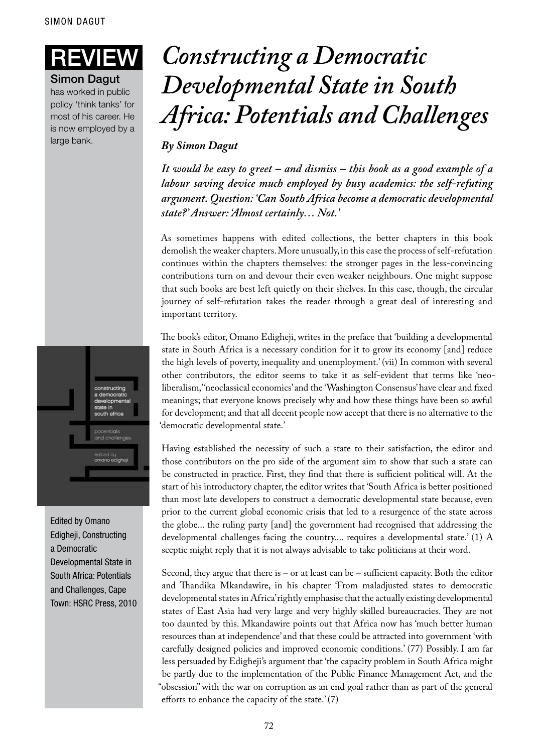Simon Dagut

has worked in public policy 'think tanks' for most of his career. He is now employed by a large bank.



Edited by Omano Edigheji, Constructing a Democratic Developmental State in South Africa: Potentials and Challenges, Cape Town: HSRC Press, 2010

## **IEW** Constructing a Democratic *Developmental State in South Africa: Potentials and Challenges*

## *By Simon Dagut*

*It would be easy to greet – and dismiss – this book as a good example of a labour saving device much employed by busy academics: the self-refuting argument. Question: 'Can South Africa become a democratic developmental state?' Answer: 'Almost certainly… Not.'*

As sometimes happens with edited collections, the better chapters in this book demolish the weaker chapters. More unusually, in this case the process of self-refutation continues within the chapters themselves: the stronger pages in the less-convincing contributions turn on and devour their even weaker neighbours. One might suppose that such books are best left quietly on their shelves. In this case, though, the circular journey of self-refutation takes the reader through a great deal of interesting and important territory.

The book's editor, Omano Edigheji, writes in the preface that 'building a developmental state in South Africa is a necessary condition for it to grow its economy [and] reduce the high levels of poverty, inequality and unemployment.' (vii) In common with several other contributors, the editor seems to take it as self-evident that terms like 'neoliberalism,' 'neoclassical economics' and the 'Washington Consensus' have clear and fixed meanings; that everyone knows precisely why and how these things have been so awful for development; and that all decent people now accept that there is no alternative to the 'democratic developmental state.'

Having established the necessity of such a state to their satisfaction, the editor and those contributors on the pro side of the argument aim to show that such a state can be constructed in practice. First, they find that there is sufficient political will. At the start of his introductory chapter, the editor writes that 'South Africa is better positioned than most late developers to construct a democratic developmental state because, even prior to the current global economic crisis that led to a resurgence of the state across the globe... the ruling party [and] the government had recognised that addressing the developmental challenges facing the country.... requires a developmental state.' (1) A sceptic might reply that it is not always advisable to take politicians at their word.

Second, they argue that there is – or at least can be – sufficient capacity. Both the editor and Thandika Mkandawire, in his chapter 'From maladjusted states to democratic developmental states in Africa' rightly emphasise that the actually existing developmental states of East Asia had very large and very highly skilled bureaucracies. They are not too daunted by this. Mkandawire points out that Africa now has 'much better human resources than at independence' and that these could be attracted into government 'with carefully designed policies and improved economic conditions.' (77) Possibly. I am far less persuaded by Edigheji's argument that 'the capacity problem in South Africa might be partly due to the implementation of the Public Finance Management Act, and the "obsession" with the war on corruption as an end goal rather than as part of the general efforts to enhance the capacity of the state.' (7)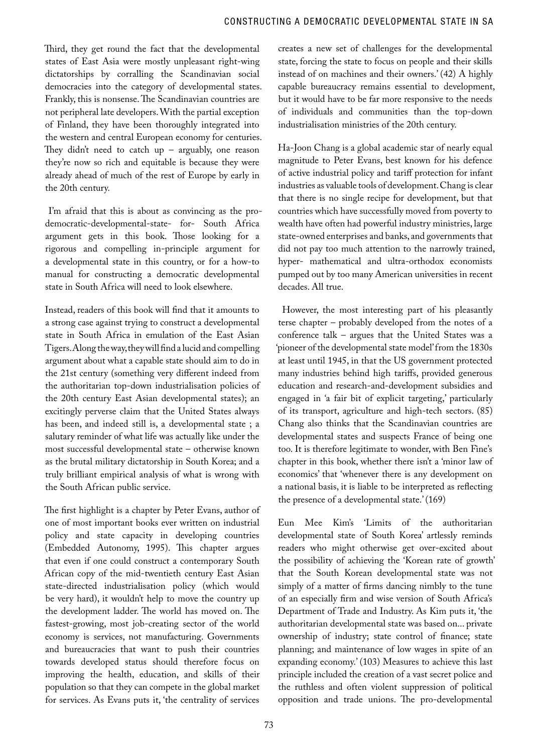Third, they get round the fact that the developmental states of East Asia were mostly unpleasant right-wing dictatorships by corralling the Scandinavian social democracies into the category of developmental states. Frankly, this is nonsense. The Scandinavian countries are not peripheral late developers. With the partial exception of Finland, they have been thoroughly integrated into the western and central European economy for centuries. They didn't need to catch up - arguably, one reason they're now so rich and equitable is because they were already ahead of much of the rest of Europe by early in the 20th century.

 I'm afraid that this is about as convincing as the prodemocratic-developmental-state- for- South Africa argument gets in this book. Those looking for a rigorous and compelling in-principle argument for a developmental state in this country, or for a how-to manual for constructing a democratic developmental state in South Africa will need to look elsewhere.

Instead, readers of this book will find that it amounts to a strong case against trying to construct a developmental state in South Africa in emulation of the East Asian Tigers. Along the way, they will find a lucid and compelling argument about what a capable state should aim to do in the 21st century (something very different indeed from the authoritarian top-down industrialisation policies of the 20th century East Asian developmental states); an excitingly perverse claim that the United States always has been, and indeed still is, a developmental state ; a salutary reminder of what life was actually like under the most successful developmental state – otherwise known as the brutal military dictatorship in South Korea; and a truly brilliant empirical analysis of what is wrong with the South African public service.

The first highlight is a chapter by Peter Evans, author of one of most important books ever written on industrial policy and state capacity in developing countries (Embedded Autonomy, 1995). This chapter argues that even if one could construct a contemporary South African copy of the mid-twentieth century East Asian state-directed industrialisation policy (which would be very hard), it wouldn't help to move the country up the development ladder. The world has moved on. The fastest-growing, most job-creating sector of the world economy is services, not manufacturing. Governments and bureaucracies that want to push their countries towards developed status should therefore focus on improving the health, education, and skills of their population so that they can compete in the global market for services. As Evans puts it, 'the centrality of services

creates a new set of challenges for the developmental state, forcing the state to focus on people and their skills instead of on machines and their owners.' (42) A highly capable bureaucracy remains essential to development, but it would have to be far more responsive to the needs of individuals and communities than the top-down industrialisation ministries of the 20th century.

Ha-Joon Chang is a global academic star of nearly equal magnitude to Peter Evans, best known for his defence of active industrial policy and tariff protection for infant industries as valuable tools of development. Chang is clear that there is no single recipe for development, but that countries which have successfully moved from poverty to wealth have often had powerful industry ministries, large state-owned enterprises and banks, and governments that did not pay too much attention to the narrowly trained, hyper- mathematical and ultra-orthodox economists pumped out by too many American universities in recent decades. All true.

 However, the most interesting part of his pleasantly terse chapter – probably developed from the notes of a conference talk – argues that the United States was a 'pioneer of the developmental state model' from the 1830s at least until 1945, in that the US government protected many industries behind high tariffs, provided generous education and research-and-development subsidies and engaged in 'a fair bit of explicit targeting,' particularly of its transport, agriculture and high-tech sectors. (85) Chang also thinks that the Scandinavian countries are developmental states and suspects France of being one too. It is therefore legitimate to wonder, with Ben Fine's chapter in this book, whether there isn't a 'minor law of economics' that 'whenever there is any development on a national basis, it is liable to be interpreted as reflecting the presence of a developmental state.' (169)

Eun Mee Kim's 'Limits of the authoritarian developmental state of South Korea' artlessly reminds readers who might otherwise get over-excited about the possibility of achieving the 'Korean rate of growth' that the South Korean developmental state was not simply of a matter of firms dancing nimbly to the tune of an especially firm and wise version of South Africa's Department of Trade and Industry. As Kim puts it, 'the authoritarian developmental state was based on... private ownership of industry; state control of finance; state planning; and maintenance of low wages in spite of an expanding economy.' (103) Measures to achieve this last principle included the creation of a vast secret police and the ruthless and often violent suppression of political opposition and trade unions. The pro-developmental